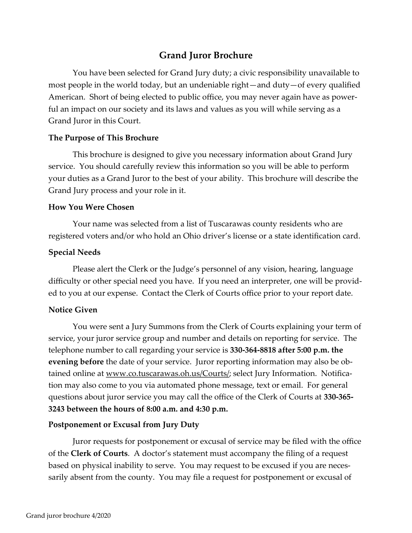# **Grand Juror Brochure**

You have been selected for Grand Jury duty; a civic responsibility unavailable to most people in the world today, but an undeniable right—and duty—of every qualified American. Short of being elected to public office, you may never again have as powerful an impact on our society and its laws and values as you will while serving as a Grand Juror in this Court.

# **The Purpose of This Brochure**

This brochure is designed to give you necessary information about Grand Jury service. You should carefully review this information so you will be able to perform your duties as a Grand Juror to the best of your ability. This brochure will describe the Grand Jury process and your role in it.

## **How You Were Chosen**

Your name was selected from a list of Tuscarawas county residents who are registered voters and/or who hold an Ohio driver's license or a state identification card.

# **Special Needs**

Please alert the Clerk or the Judge's personnel of any vision, hearing, language difficulty or other special need you have. If you need an interpreter, one will be provided to you at our expense. Contact the Clerk of Courts office prior to your report date.

## **Notice Given**

You were sent a Jury Summons from the Clerk of Courts explaining your term of service, your juror service group and number and details on reporting for service. The telephone number to call regarding your service is **330-364-8818 after 5:00 p.m. the evening before** the date of your service. Juror reporting information may also be obtained online at www.co.tuscarawas.oh.us/Courts/; select Jury Information. Notification may also come to you via automated phone message, text or email. For general questions about juror service you may call the office of the Clerk of Courts at **330-365- 3243 between the hours of 8:00 a.m. and 4:30 p.m.**

## **Postponement or Excusal from Jury Duty**

Juror requests for postponement or excusal of service may be filed with the office of the **Clerk of Courts**. A doctor's statement must accompany the filing of a request based on physical inability to serve. You may request to be excused if you are necessarily absent from the county. You may file a request for postponement or excusal of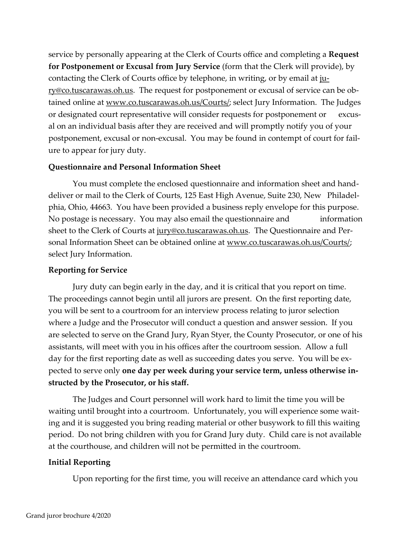service by personally appearing at the Clerk of Courts office and completing a **Request for Postponement or Excusal from Jury Service** (form that the Clerk will provide), by contacting the Clerk of Courts office by telephone, in writing, or by email at jury@co.tuscarawas.oh.us. The request for postponement or excusal of service can be obtained online at www.co.tuscarawas.oh.us/Courts/; select Jury Information. The Judges or designated court representative will consider requests for postponement or excusal on an individual basis after they are received and will promptly notify you of your postponement, excusal or non-excusal. You may be found in contempt of court for failure to appear for jury duty.

## **Questionnaire and Personal Information Sheet**

You must complete the enclosed questionnaire and information sheet and handdeliver or mail to the Clerk of Courts, 125 East High Avenue, Suite 230, New Philadelphia, Ohio, 44663. You have been provided a business reply envelope for this purpose. No postage is necessary. You may also email the questionnaire and information sheet to the Clerk of Courts at jury@co.tuscarawas.oh.us. The Questionnaire and Personal Information Sheet can be obtained online at www.co.tuscarawas.oh.us/Courts/; select Jury Information.

## **Reporting for Service**

Jury duty can begin early in the day, and it is critical that you report on time. The proceedings cannot begin until all jurors are present. On the first reporting date, you will be sent to a courtroom for an interview process relating to juror selection where a Judge and the Prosecutor will conduct a question and answer session. If you are selected to serve on the Grand Jury, Ryan Styer, the County Prosecutor, or one of his assistants, will meet with you in his offices after the courtroom session. Allow a full day for the first reporting date as well as succeeding dates you serve. You will be expected to serve only **one day per week during your service term, unless otherwise instructed by the Prosecutor, or his staff.** 

The Judges and Court personnel will work hard to limit the time you will be waiting until brought into a courtroom. Unfortunately, you will experience some waiting and it is suggested you bring reading material or other busywork to fill this waiting period. Do not bring children with you for Grand Jury duty. Child care is not available at the courthouse, and children will not be permitted in the courtroom.

## **Initial Reporting**

Upon reporting for the first time, you will receive an attendance card which you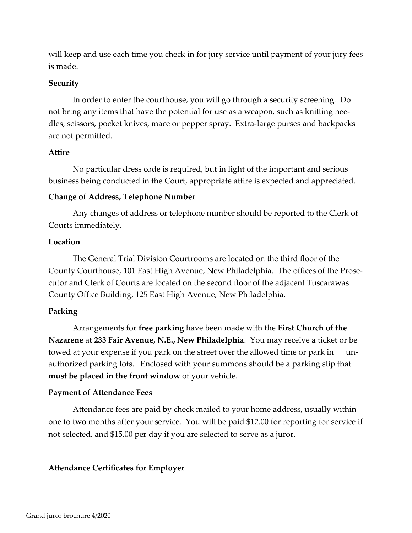will keep and use each time you check in for jury service until payment of your jury fees is made.

## **Security**

In order to enter the courthouse, you will go through a security screening. Do not bring any items that have the potential for use as a weapon, such as knitting needles, scissors, pocket knives, mace or pepper spray. Extra-large purses and backpacks are not permitted.

## **Attire**

No particular dress code is required, but in light of the important and serious business being conducted in the Court, appropriate attire is expected and appreciated.

## **Change of Address, Telephone Number**

Any changes of address or telephone number should be reported to the Clerk of Courts immediately.

# **Location**

The General Trial Division Courtrooms are located on the third floor of the County Courthouse, 101 East High Avenue, New Philadelphia. The offices of the Prosecutor and Clerk of Courts are located on the second floor of the adjacent Tuscarawas County Office Building, 125 East High Avenue, New Philadelphia.

## **Parking**

Arrangements for **free parking** have been made with the **First Church of the Nazarene** at **233 Fair Avenue, N.E., New Philadelphia**. You may receive a ticket or be towed at your expense if you park on the street over the allowed time or park in unauthorized parking lots. Enclosed with your summons should be a parking slip that **must be placed in the front window** of your vehicle.

#### **Payment of Attendance Fees**

Attendance fees are paid by check mailed to your home address, usually within one to two months after your service. You will be paid \$12.00 for reporting for service if not selected, and \$15.00 per day if you are selected to serve as a juror.

#### **Attendance Certificates for Employer**